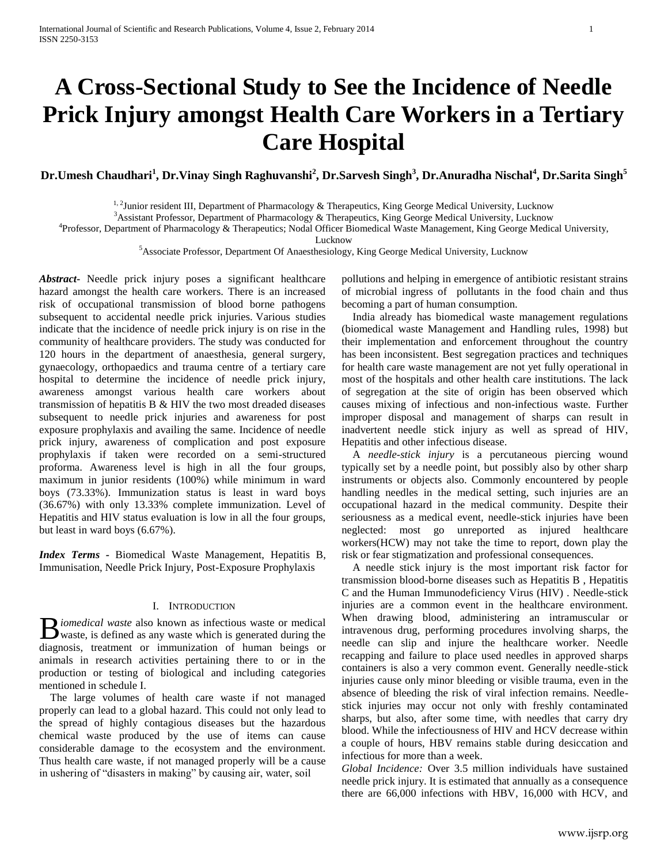# **A Cross-Sectional Study to See the Incidence of Needle Prick Injury amongst Health Care Workers in a Tertiary Care Hospital**

**Dr.Umesh Chaudhari<sup>1</sup> , Dr.Vinay Singh Raghuvanshi<sup>2</sup> , Dr.Sarvesh Singh<sup>3</sup> , Dr.Anuradha Nischal<sup>4</sup> , Dr.Sarita Singh<sup>5</sup>**

 $1, 2$ Junior resident III, Department of Pharmacology & Therapeutics, King George Medical University, Lucknow

<sup>3</sup>Assistant Professor, Department of Pharmacology & Therapeutics, King George Medical University, Lucknow

4 Professor, Department of Pharmacology & Therapeutics; Nodal Officer Biomedical Waste Management, King George Medical University,

Lucknow

<sup>5</sup>Associate Professor, Department Of Anaesthesiology, King George Medical University, Lucknow

*Abstract***-** Needle prick injury poses a significant healthcare hazard amongst the health care workers. There is an increased risk of occupational transmission of blood borne pathogens subsequent to accidental needle prick injuries. Various studies indicate that the incidence of needle prick injury is on rise in the community of healthcare providers. The study was conducted for 120 hours in the department of anaesthesia, general surgery, gynaecology, orthopaedics and trauma centre of a tertiary care hospital to determine the incidence of needle prick injury, awareness amongst various health care workers about transmission of hepatitis B & HIV the two most dreaded diseases subsequent to needle prick injuries and awareness for post exposure prophylaxis and availing the same. Incidence of needle prick injury, awareness of complication and post exposure prophylaxis if taken were recorded on a semi-structured proforma. Awareness level is high in all the four groups, maximum in junior residents (100%) while minimum in ward boys (73.33%). Immunization status is least in ward boys (36.67%) with only 13.33% complete immunization. Level of Hepatitis and HIV status evaluation is low in all the four groups, but least in ward boys (6.67%).

*Index Terms -* Biomedical Waste Management, Hepatitis B, Immunisation, Needle Prick Injury, Post-Exposure Prophylaxis

# I. INTRODUCTION

*I* iomedical waste also known as infectious waste or medical **B** iomedical waste also known as infectious waste or medical waste, is defined as any waste which is generated during the diagnosis, treatment or immunization of human beings or animals in research activities pertaining there to or in the production or testing of biological and including categories mentioned in schedule I.

 The large volumes of health care waste if not managed properly can lead to a global hazard. This could not only lead to the spread of highly contagious diseases but the hazardous chemical waste produced by the use of items can cause considerable damage to the ecosystem and the environment. Thus health care waste, if not managed properly will be a cause in ushering of "disasters in making" by causing air, water, soil

pollutions and helping in emergence of antibiotic resistant strains of microbial ingress of pollutants in the food chain and thus becoming a part of human consumption.

 India already has biomedical waste management regulations (biomedical waste Management and Handling rules, 1998) but their implementation and enforcement throughout the country has been inconsistent. Best segregation practices and techniques for health care waste management are not yet fully operational in most of the hospitals and other health care institutions. The lack of segregation at the site of origin has been observed which causes mixing of infectious and non-infectious waste. Further improper disposal and management of sharps can result in inadvertent needle stick injury as well as spread of HIV, Hepatitis and other infectious disease.

 A *needle-stick injury* is a percutaneous piercing wound typically set by a needle point, but possibly also by other sharp instruments or objects also. Commonly encountered by people handling needles in the medical setting, such injuries are an occupational hazard in the medical community. Despite their seriousness as a medical event, needle-stick injuries have been neglected: most go unreported as injured healthcare workers(HCW) may not take the time to report, down play the risk or fear stigmatization and professional consequences.

 A needle stick injury is the most important risk factor for transmission blood-borne diseases such as Hepatitis B , Hepatitis C and the Human Immunodeficiency Virus (HIV) . Needle-stick injuries are a common event in the healthcare environment. When drawing blood, administering an intramuscular or intravenous drug, performing procedures involving sharps, the needle can slip and injure the healthcare worker. Needle recapping and failure to place used needles in approved sharps containers is also a very common event. Generally needle-stick injuries cause only minor bleeding or visible trauma, even in the absence of bleeding the risk of viral infection remains. Needlestick injuries may occur not only with freshly contaminated sharps, but also, after some time, with needles that carry dry blood. While the infectiousness of HIV and HCV decrease within a couple of hours, HBV remains stable during desiccation and infectious for more than a week.

*Global Incidence:* Over 3.5 million individuals have sustained needle prick injury. It is estimated that annually as a consequence there are 66,000 infections with HBV, 16,000 with HCV, and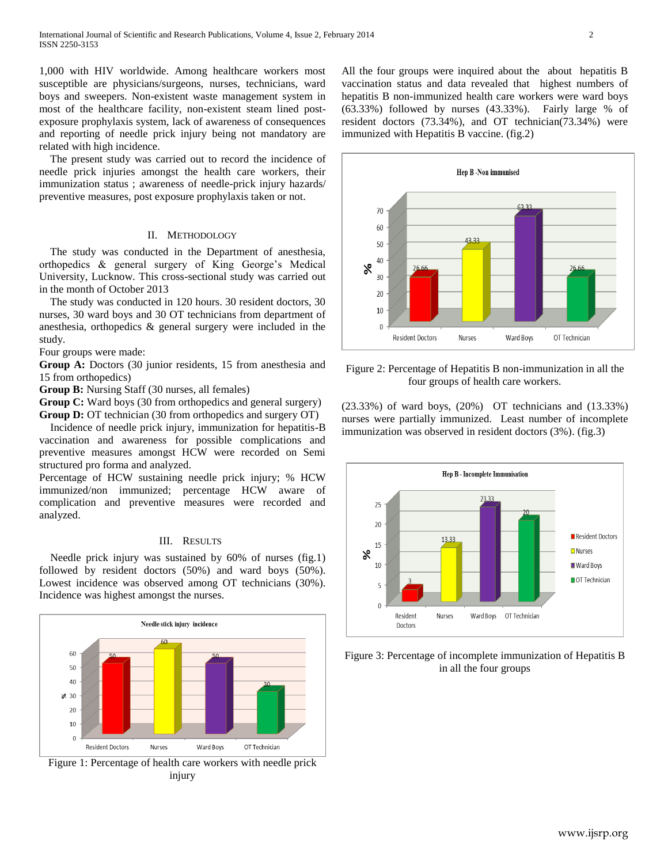1,000 with HIV worldwide. Among healthcare workers most susceptible are physicians/surgeons, nurses, technicians, ward boys and sweepers. Non-existent waste management system in most of the healthcare facility, non-existent steam lined postexposure prophylaxis system, lack of awareness of consequences and reporting of needle prick injury being not mandatory are related with high incidence.

 The present study was carried out to record the incidence of needle prick injuries amongst the health care workers, their immunization status ; awareness of needle-prick injury hazards/ preventive measures, post exposure prophylaxis taken or not.

## II. METHODOLOGY

 The study was conducted in the Department of anesthesia, orthopedics & general surgery of King George's Medical University, Lucknow. This cross-sectional study was carried out in the month of October 2013

 The study was conducted in 120 hours. 30 resident doctors, 30 nurses, 30 ward boys and 30 OT technicians from department of anesthesia, orthopedics & general surgery were included in the study.

Four groups were made:

**Group A:** Doctors (30 junior residents, 15 from anesthesia and 15 from orthopedics)

**Group B:** Nursing Staff (30 nurses, all females)

**Group C:** Ward boys (30 from orthopedics and general surgery) **Group D:** OT technician (30 from orthopedics and surgery OT)

 Incidence of needle prick injury, immunization for hepatitis-B vaccination and awareness for possible complications and preventive measures amongst HCW were recorded on Semi structured pro forma and analyzed.

Percentage of HCW sustaining needle prick injury; % HCW immunized/non immunized; percentage HCW aware of complication and preventive measures were recorded and analyzed.

# III. RESULTS

 Needle prick injury was sustained by 60% of nurses (fig.1) followed by resident doctors (50%) and ward boys (50%). Lowest incidence was observed among OT technicians (30%). Incidence was highest amongst the nurses.



Figure 1: Percentage of health care workers with needle prick injury

All the four groups were inquired about the about hepatitis B vaccination status and data revealed that highest numbers of hepatitis B non-immunized health care workers were ward boys  $(63.33\%)$  followed by nurses  $(43.33\%)$ . Fairly large % of resident doctors (73.34%), and OT technician(73.34%) were immunized with Hepatitis B vaccine. (fig.2)



Figure 2: Percentage of Hepatitis B non-immunization in all the four groups of health care workers.

(23.33%) of ward boys, (20%) OT technicians and (13.33%) nurses were partially immunized. Least number of incomplete immunization was observed in resident doctors (3%). (fig.3)



Figure 3: Percentage of incomplete immunization of Hepatitis B in all the four groups